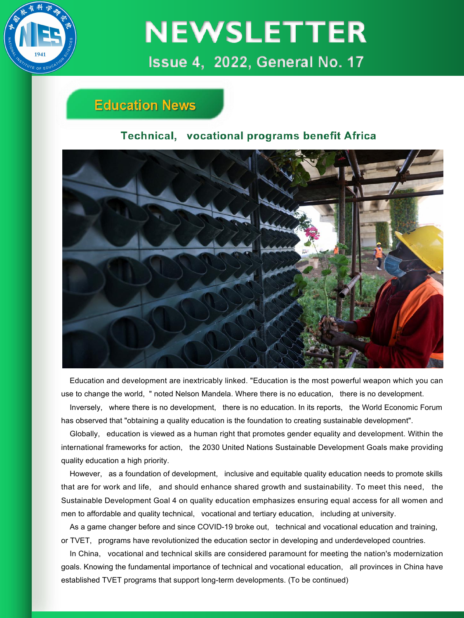

### **Education News**

#### Technical, vocational programs benefit Africa



Education and development are inextricably linked. "Education is the most powerful weapon which you can use to change the world, " noted Nelson Mandela. Where there is no education, there is no development.

Inversely, where there is no development, there is no education. In its reports, the World Economic Forum has observed that "obtaining a quality education is the foundation to creating sustainable development".

Globally, education isviewed as a human right that promotes gender equality and development. Within the international frameworks for action, the 2030 United Nations Sustainable Development Goals make providing quality education a high priority.

However, as a foundation of development, inclusive and equitable quality education needs to promote skills that are for work and life, and should enhance shared growth and sustainability. To meet this need, the Sustainable Development Goal 4 on quality education emphasizes ensuring equal access for all women and men to affordable and quality technical, vocational and tertiary education, including at university.

As a game changer before and since COVID-19 broke out, technical and vocational education and training, or TVET, programs have revolutionized the education sector in developing and underdeveloped countries.

In China, vocational and technical skills are considered paramount for meeting the nation's modernization goals. Knowing the fundamental importance of technical and vocational education, all provinces in China have established TVET programs that support long-term developments. (To be continued)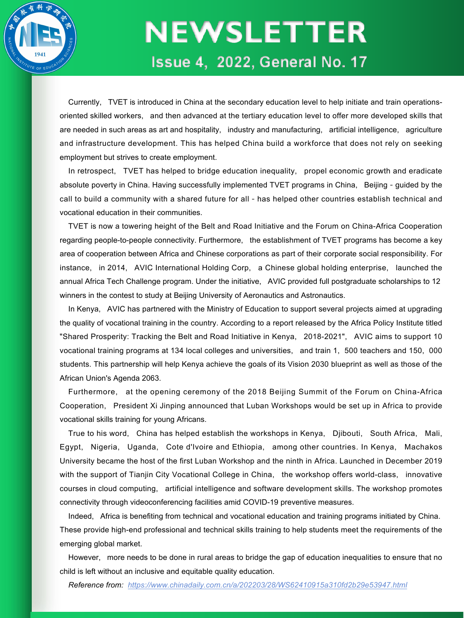

Currently, TVET is introduced in China at the secondary education level to help initiate and train operations oriented skilled workers, and then advanced at the tertiary education level to offer more developed skills that are needed in such areas as art and hospitality, industry and manufacturing, artificial intelligence, agriculture and infrastructure development. This has helped China build a workforce that does not rely on seeking employment but strives to create employment.

In retrospect, TVET has helped to bridge education inequality, propel economic growth and eradicate absolute poverty in China. Having successfully implemented TVET programs in China, Beijing - guided by the call to build a community with a shared future for all - has helped other countries establish technical and vocational education in their communities.

TVET is now a towering height of the Belt and Road Initiative and the Forum on China-Africa Cooperation regarding people-to-people connectivity. Furthermore, the establishment of TVET programs has become a key area of cooperation between Africa and Chinese corporations as part of their corporate social responsibility. For instance, in 2014, AVIC International Holding Corp, a Chinese global holding enterprise, launched the annual Africa Tech Challenge program. Under the initiative, AVIC provided full postgraduate scholarships to 12 winners in the contest to study at Beijing University of Aeronautics and Astronautics.

In Kenya, AVIC has partnered with the Ministry of Education to support several projects aimed atupgrading the quality of vocational training in the country. According to a report released by the Africa Policy Institute titled "Shared Prosperity: Tracking the Belt and Road Initiative in Kenya, 2018-2021", AVIC aims to support 10 vocational training programs at 134 local colleges and universities, and train 1, 500 teachers and 150, 000 students. This partnership will help Kenya achieve the goals of its Vision 2030 blueprint as well as those of the African Union's Agenda 2063.

Furthermore, at the opening ceremony of the 2018 Beijing Summit of the Forum on China-Africa Cooperation, President Xi Jinping announced that Luban Workshops would be set up in Africa to provide vocational skills training for young Africans.

True to his word, China has helped establish the workshops in Kenya, Djibouti, South Africa, Mali, Egypt, Nigeria, Uganda, Cote d'Ivoire and Ethiopia, among other countries. In Kenya, Machakos University became the host of the first Luban Workshop and the ninth in Africa. Launched in December 2019 with the support of Tianjin City Vocational College in China. the workshop offers world-class, innovative courses in cloud computing, artificial intelligence and software development skills. The workshop promotes connectivity through videoconferencing facilities amid COVID-19 preventive measures.

Indeed, Africa is benefiting from technical and vocational education and training programs initiated by China. These provide high-end professional and technical skills training to help students meet the requirements of the emerging global market.

However, more needs to be done in rural areas to bridge the gap of education inequalities to ensure that no child is left without an inclusive and equitable quality education.

*Reference from: https://www.chinadaily.com.cn/a/202203/28/WS62410915a310fd2b29e53947.html*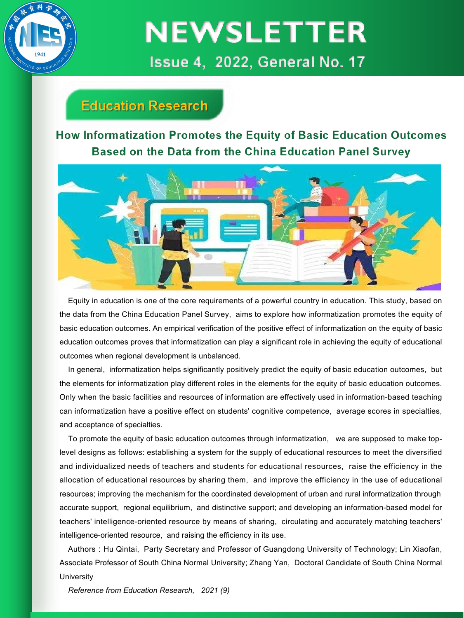

### **Education Research**

### How Informatization Promotes the Equity of Basic Education Outcomes Based on the Data from the China Education Panel Survey



Equity in education is one of the core requirements of a powerful country in education. This study, based on the data from the China Education Panel Survey, aims to explore how informatization promotes the equity of basic education outcomes. An empirical verification of the positive effect of informatization on the equity of basic education outcomes proves that informatization can play a significant role in achieving the equity of educational outcomes when regional development is unbalanced.

In general, informatization helps significantly positively predict the equity of basic education outcomes, but the elements for informatization play different roles in the elements for the equity of basic education outcomes. Only when the basic facilities and resources of information are effectively used in information-based teaching can informatization have a positive effect on students' cognitive competence, average scores in specialties, and acceptance of specialties.

To promote the equity of basic education outcomes through informatization, we are supposed to make toplevel designs as follows: establishing a system for the supply of educational resources to meet the diversified and individualized needs of teachers and students for educational resources, raise the efficiency in the allocation of educational resources by sharing them, and improve the efficiency in the use of educational resources; improving the mechanism for the coordinated development of urban and rural informatization through accurate support, regional equilibrium, and distinctive support; and developing an information-based model for teachers' intelligence-oriented resource by means of sharing, circulating and accurately matching teachers' intelligence-oriented resource, and raising the efficiency in its use.

Authors: Hu Qintai, Party Secretary and Professor of Guangdong University of Technology; Lin Xiaofan, Associate Professor of South China Normal University; Zhang Yan, Doctoral Candidate of South China Normal **University**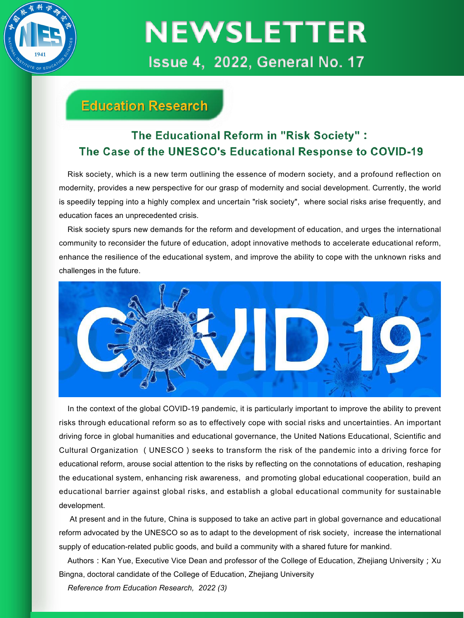

### **Education Research**

### The Educational Reform in "Risk Society" : The Case of the UNESCO's Educational Response to COVID-19

Risk society, which is a new term outlining the essence of modern society, and a profound reflection on modernity, provides a new perspective for our grasp of modernity and social development. Currently, the world is speedily tepping into a highly complex and uncertain "risk society", where social risks arise frequently, and education faces an unprecedented crisis.

Risk society spurs new demands for the reform and development of education, and urges the international community to reconsider the future of education, adopt innovative methods to accelerate educational reform, enhance the resilience of the educational system, and improve the ability to cope with the unknown risks and challenges in the future.



In the context of the global COVID-19 pandemic, it is particularly important to improve the ability to prevent risks through educational reform so as to effectively cope with social risks and uncertainties. An important driving force in global humanities and educational governance, the United Nations Educational, Scientific and Cultural Organization (UNESCO) seeks to transform the risk of the pandemic into a driving force for educational reform, arouse social attention to the risks by reflecting on the connotations of education, reshaping the educational system, enhancing risk awareness, and promoting global educational cooperation, build an educational barrier against global risks, and establish a global educational community for sustainable development.

At present and in the future, China is supposed to take an active part in global governance and educational reform advocated by the UNESCO so as to adapt to the development of risk society, increase the international supply of education-related public goods, and build a community with a shared future for mankind.

Authors: Kan Yue, Executive Vice Dean and professor of the College of Education, Zhejiang University; Xu Bingna, doctoral candidate of the College of Education, Zhejiang University

*Reference from Education Research, 2022 (3)*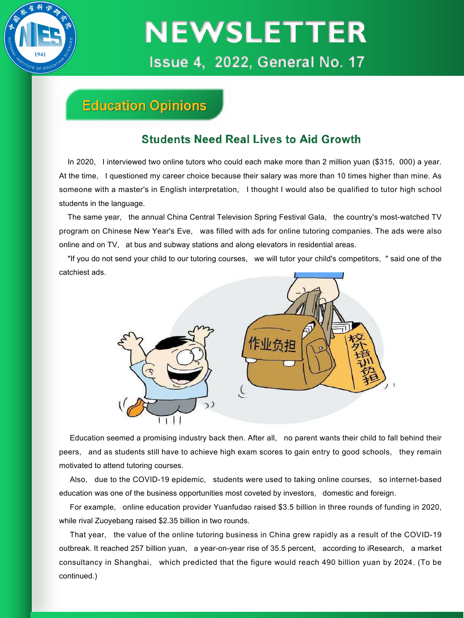

### **Education Opinions**

#### **Students Need Real Lives to Aid Growth**

In 2020, I interviewed two online tutors who could each make more than 2 million yuan (\$315, 000) a year. At the time. I questioned my career choice because their salary was more than 10 times higher than mine. As someone with a master's in English interpretation, I thought I would also be qualified to tutor high school students in the language.

The same year, the annual China Central Television Spring Festival Gala, the country's most-watched TV program on Chinese New Year's Eve, was filled with ads for online tutoring companies. The ads were also online and on TV, at bus and subway stations and along elevators in residential areas.

"If you do not send your child to our tutoring courses, we will tutor your child's competitors, " said one of the catchiest ads.



Education seemed a promising industry back then. After all, no parent wants their child to fall behind their peers, and as students still have to achieve high exam scores to gain entry to good schools, they remain motivated to attend tutoring courses.

Also, due to the COVID-19 epidemic, students were used to taking online courses, so internet-based education was one of the business opportunities most coveted by investors, domestic and foreign.

For example, online education provider Yuanfudao raised \$3.5 billion in three rounds of funding in 2020, while rival Zuoyebang raised \$2.35 billion in two rounds.

That year, the value of the online tutoring business in China grew rapidly as a result of the COVID-19 outbreak. It reached 257 billion yuan, a year-on-year rise of 35.5 percent, according to iResearch, a market consultancy in Shanghai, which predicted that the figure would reach 490 billion yuan by 2024. (To be continued.)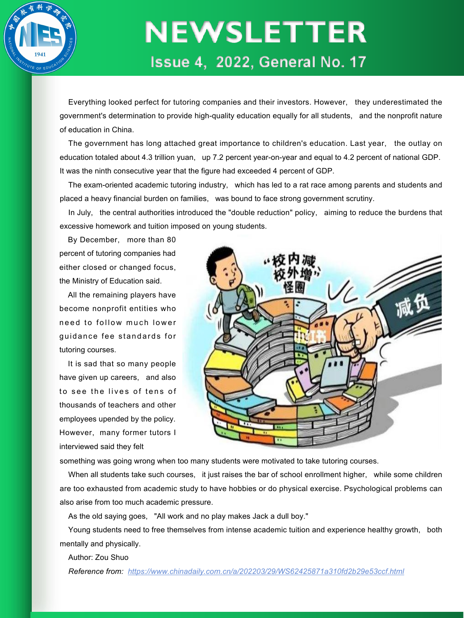

Everything looked perfect for tutoring companies and their investors. However, they underestimated the government's determination to provide high-quality education equally for allstudents, and the nonprofit nature of education in China.

The government has long attached great importance to children's education. Last year, the outlay on education totaled about 4.3 trillion yuan, up 7.2 percent year-on-year and equal to 4.2 percent of national GDP. It was the ninth consecutive year that the figure had exceeded 4 percent of GDP.

The exam-oriented academic tutoring industry, which has led to a rat race among parents and students and placed a heavy financial burden on families,was bound to face strong government scrutiny.

In July, the central authorities introduced the "double reduction" policy, aiming to reduce the burdens that excessive homework and tuition imposed on young students.

By December, more than 80 percent of tutoring companies had either closed or changed focus, the Ministry of Education said.

All the remaining players have become nonprofit entities who need to follow much lower quidance fee standards for tutoring courses.

It is sad that so many people have given up careers, and also to see the lives of tens of thousands of teachers and other employees upended by the policy. However, many former tutors I interviewed said they felt



something was going wrong when too many students were motivated to take tutoring courses.

When all students take such courses, it just raises the bar of school enrollment higher, while some children are too exhausted from academic study to have hobbies or do physical exercise. Psychological problems can also arise from too much academic pressure.

As the old saying goes, "All work and no play makes Jack a dull boy."

Young students need to free themselves from intense academic tuition and experience healthy growth, both mentally and physically.

Author: Zou Shuo *Reference from: https://www.chinadaily.com.cn/a/202203/29/WS62425871a310fd2b29e53ccf.html*